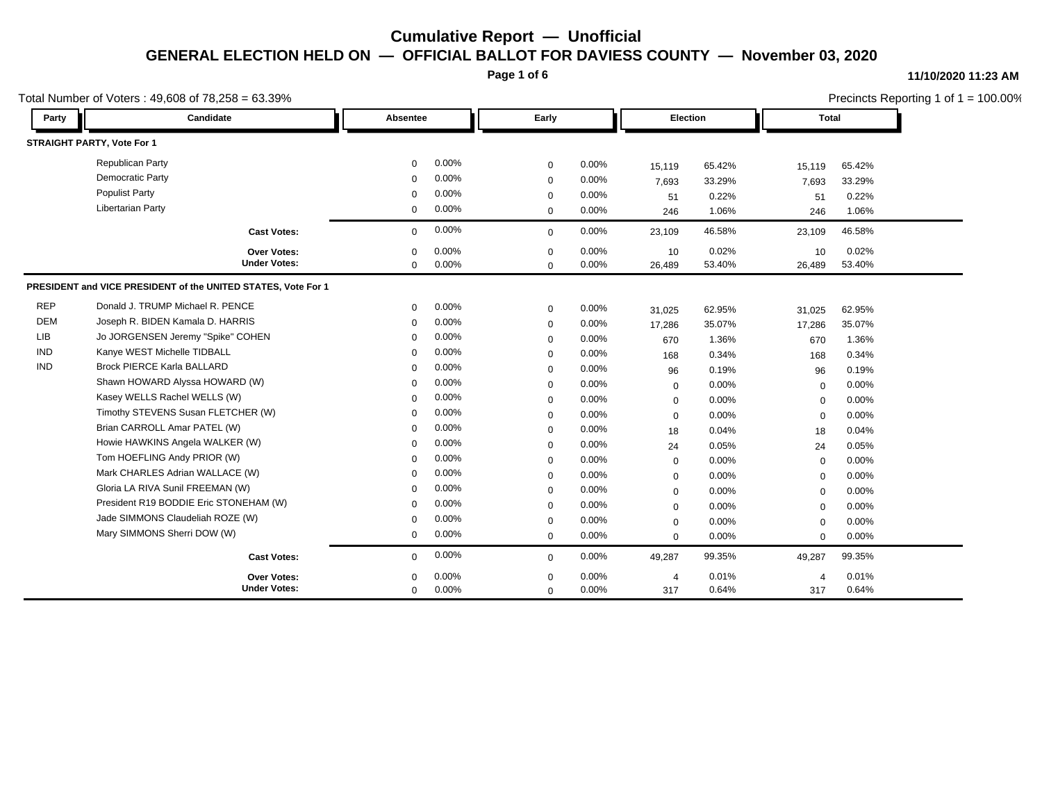**Page 1 of 6**

#### **11/10/2020 11:23 AM**

| Total Number of Voters: $49,608$ of $78,258 = 63.39\%$ |                                                               |             |          |             |       | Precincts Reporting 1 of $1 = 100.00\%$ |        |                |        |  |
|--------------------------------------------------------|---------------------------------------------------------------|-------------|----------|-------------|-------|-----------------------------------------|--------|----------------|--------|--|
| Party                                                  | Candidate                                                     | Absentee    |          | Early       |       | <b>Election</b>                         |        | Total          |        |  |
|                                                        | STRAIGHT PARTY, Vote For 1                                    |             |          |             |       |                                         |        |                |        |  |
|                                                        | <b>Republican Party</b>                                       | $\mathbf 0$ | 0.00%    | $\mathbf 0$ | 0.00% | 15,119                                  | 65.42% | 15,119         | 65.42% |  |
|                                                        | Democratic Party                                              | $\mathbf 0$ | 0.00%    | $\mathbf 0$ | 0.00% | 7,693                                   | 33.29% | 7,693          | 33.29% |  |
|                                                        | <b>Populist Party</b>                                         | $\Omega$    | 0.00%    | $\mathbf 0$ | 0.00% | 51                                      | 0.22%  | 51             | 0.22%  |  |
|                                                        | <b>Libertarian Party</b>                                      | 0           | 0.00%    | $\mathbf 0$ | 0.00% | 246                                     | 1.06%  | 246            | 1.06%  |  |
|                                                        | <b>Cast Votes:</b>                                            | $\mathbf 0$ | 0.00%    | $\mathbf 0$ | 0.00% | 23,109                                  | 46.58% | 23,109         | 46.58% |  |
|                                                        | Over Votes:                                                   | $\mathbf 0$ | 0.00%    | $\mathbf 0$ | 0.00% | 10                                      | 0.02%  | 10             | 0.02%  |  |
|                                                        | <b>Under Votes:</b>                                           | 0           | 0.00%    | $\mathbf 0$ | 0.00% | 26,489                                  | 53.40% | 26,489         | 53.40% |  |
|                                                        | PRESIDENT and VICE PRESIDENT of the UNITED STATES, Vote For 1 |             |          |             |       |                                         |        |                |        |  |
| <b>REP</b>                                             | Donald J. TRUMP Michael R. PENCE                              | $\mathbf 0$ | 0.00%    | $\mathbf 0$ | 0.00% | 31,025                                  | 62.95% | 31,025         | 62.95% |  |
| <b>DEM</b>                                             | Joseph R. BIDEN Kamala D. HARRIS                              | $\Omega$    | 0.00%    | $\mathbf 0$ | 0.00% | 17,286                                  | 35.07% | 17,286         | 35.07% |  |
| <b>LIB</b>                                             | Jo JORGENSEN Jeremy "Spike" COHEN                             | $\Omega$    | 0.00%    | $\mathbf 0$ | 0.00% | 670                                     | 1.36%  | 670            | 1.36%  |  |
| <b>IND</b>                                             | Kanye WEST Michelle TIDBALL                                   | $\Omega$    | 0.00%    | $\mathbf 0$ | 0.00% | 168                                     | 0.34%  | 168            | 0.34%  |  |
| <b>IND</b>                                             | <b>Brock PIERCE Karla BALLARD</b>                             | $\Omega$    | 0.00%    | $\mathbf 0$ | 0.00% | 96                                      | 0.19%  | 96             | 0.19%  |  |
|                                                        | Shawn HOWARD Alyssa HOWARD (W)                                | $\Omega$    | 0.00%    | $\mathbf 0$ | 0.00% | 0                                       | 0.00%  | $\mathbf 0$    | 0.00%  |  |
|                                                        | Kasey WELLS Rachel WELLS (W)                                  | $\Omega$    | 0.00%    | $\mathbf 0$ | 0.00% | $\mathbf 0$                             | 0.00%  | $\mathbf 0$    | 0.00%  |  |
|                                                        | Timothy STEVENS Susan FLETCHER (W)                            | $\Omega$    | 0.00%    | $\mathbf 0$ | 0.00% | $\mathbf 0$                             | 0.00%  | $\mathbf 0$    | 0.00%  |  |
|                                                        | Brian CARROLL Amar PATEL (W)                                  | $\Omega$    | 0.00%    | $\Omega$    | 0.00% | 18                                      | 0.04%  | 18             | 0.04%  |  |
|                                                        | Howie HAWKINS Angela WALKER (W)                               | $\mathbf 0$ | 0.00%    | $\mathbf 0$ | 0.00% | 24                                      | 0.05%  | 24             | 0.05%  |  |
|                                                        | Tom HOEFLING Andy PRIOR (W)                                   | $\Omega$    | 0.00%    | $\mathbf 0$ | 0.00% | $\mathbf 0$                             | 0.00%  | $\mathbf 0$    | 0.00%  |  |
|                                                        | Mark CHARLES Adrian WALLACE (W)                               | $\Omega$    | 0.00%    | $\mathbf 0$ | 0.00% | $\mathbf 0$                             | 0.00%  | $\mathbf 0$    | 0.00%  |  |
|                                                        | Gloria LA RIVA Sunil FREEMAN (W)                              | $\Omega$    | 0.00%    | $\mathbf 0$ | 0.00% | $\mathbf 0$                             | 0.00%  | $\mathbf 0$    | 0.00%  |  |
|                                                        | President R19 BODDIE Eric STONEHAM (W)                        | $\Omega$    | 0.00%    | $\mathbf 0$ | 0.00% | 0                                       | 0.00%  | $\mathbf 0$    | 0.00%  |  |
|                                                        | Jade SIMMONS Claudeliah ROZE (W)                              | $\Omega$    | 0.00%    | $\mathbf 0$ | 0.00% | $\mathbf 0$                             | 0.00%  | $\mathbf 0$    | 0.00%  |  |
|                                                        | Mary SIMMONS Sherri DOW (W)                                   | 0           | 0.00%    | $\mathbf 0$ | 0.00% | 0                                       | 0.00%  | $\mathbf 0$    | 0.00%  |  |
|                                                        | <b>Cast Votes:</b>                                            | $\mathbf 0$ | 0.00%    | $\mathbf 0$ | 0.00% | 49,287                                  | 99.35% | 49,287         | 99.35% |  |
|                                                        | Over Votes:                                                   | $\Omega$    | $0.00\%$ | $\Omega$    | 0.00% | $\overline{4}$                          | 0.01%  | $\overline{4}$ | 0.01%  |  |
|                                                        | <b>Under Votes:</b>                                           | 0           | 0.00%    | $\mathbf 0$ | 0.00% | 317                                     | 0.64%  | 317            | 0.64%  |  |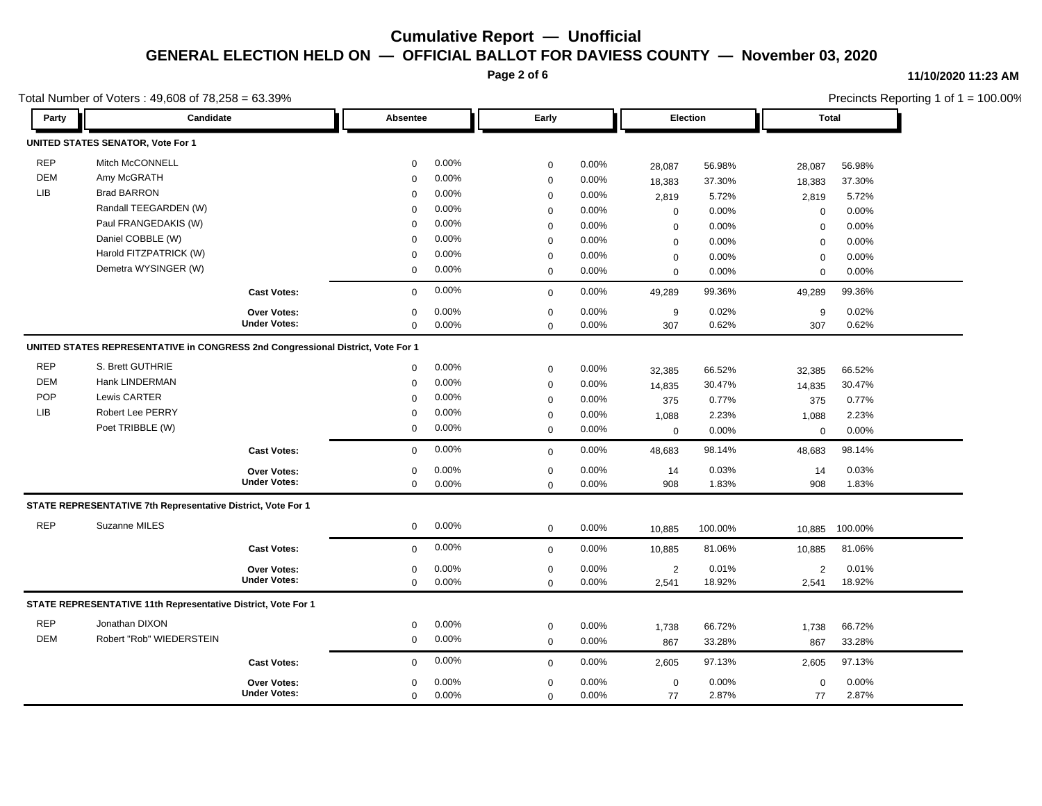**Page 2 of 6**

#### **11/10/2020 11:23 AM**

|            | Total Number of Voters: 49,608 of 78,258 = 63.39%                               |                     |             |          |             |       | Precincts Reporting 1 of 1 = 100.00% |          |                |         |  |
|------------|---------------------------------------------------------------------------------|---------------------|-------------|----------|-------------|-------|--------------------------------------|----------|----------------|---------|--|
| Party      | Candidate                                                                       |                     | Absentee    |          | Early       |       |                                      | Election |                | Total   |  |
|            | UNITED STATES SENATOR, Vote For 1                                               |                     |             |          |             |       |                                      |          |                |         |  |
| <b>REP</b> | Mitch McCONNELL                                                                 |                     | $\mathbf 0$ | $0.00\%$ | $\mathbf 0$ | 0.00% | 28,087                               | 56.98%   | 28,087         | 56.98%  |  |
| DEM        | Amy McGRATH                                                                     |                     | $\Omega$    | 0.00%    | $\mathbf 0$ | 0.00% | 18,383                               | 37.30%   | 18,383         | 37.30%  |  |
| LIB        | <b>Brad BARRON</b>                                                              |                     | 0           | 0.00%    | $\mathbf 0$ | 0.00% | 2,819                                | 5.72%    | 2,819          | 5.72%   |  |
|            | Randall TEEGARDEN (W)                                                           |                     | $\mathbf 0$ | 0.00%    | $\mathbf 0$ | 0.00% | $\mathbf 0$                          | 0.00%    | $\mathbf 0$    | 0.00%   |  |
|            | Paul FRANGEDAKIS (W)                                                            |                     | $\mathbf 0$ | 0.00%    | $\mathbf 0$ | 0.00% | $\mathbf 0$                          | 0.00%    | $\mathbf 0$    | 0.00%   |  |
|            | Daniel COBBLE (W)                                                               |                     | $\mathbf 0$ | 0.00%    | $\mathbf 0$ | 0.00% | $\mathbf 0$                          | 0.00%    | $\mathbf 0$    | 0.00%   |  |
|            | Harold FITZPATRICK (W)                                                          |                     | $\mathbf 0$ | 0.00%    | $\mathbf 0$ | 0.00% | $\mathbf 0$                          | 0.00%    | $\mathbf 0$    | 0.00%   |  |
|            | Demetra WYSINGER (W)                                                            |                     | $\mathbf 0$ | 0.00%    | $\mathbf 0$ | 0.00% | $\Omega$                             | 0.00%    | $\mathbf 0$    | 0.00%   |  |
|            |                                                                                 | <b>Cast Votes:</b>  | 0           | 0.00%    | $\mathbf 0$ | 0.00% | 49,289                               | 99.36%   | 49,289         | 99.36%  |  |
|            |                                                                                 | <b>Over Votes:</b>  | $\mathbf 0$ | 0.00%    | $\mathbf 0$ | 0.00% | 9                                    | 0.02%    | 9              | 0.02%   |  |
|            |                                                                                 | <b>Under Votes:</b> | $\mathbf 0$ | $0.00\%$ | $\Omega$    | 0.00% | 307                                  | 0.62%    | 307            | 0.62%   |  |
|            | UNITED STATES REPRESENTATIVE in CONGRESS 2nd Congressional District, Vote For 1 |                     |             |          |             |       |                                      |          |                |         |  |
| <b>REP</b> | S. Brett GUTHRIE                                                                |                     | 0           | 0.00%    | $\mathbf 0$ | 0.00% | 32,385                               | 66.52%   | 32,385         | 66.52%  |  |
| <b>DEM</b> | Hank LINDERMAN                                                                  |                     | 0           | 0.00%    | $\mathbf 0$ | 0.00% | 14,835                               | 30.47%   | 14,835         | 30.47%  |  |
| POP        | Lewis CARTER                                                                    |                     | $\mathbf 0$ | 0.00%    | $\mathbf 0$ | 0.00% | 375                                  | 0.77%    | 375            | 0.77%   |  |
| <b>LIB</b> | <b>Robert Lee PERRY</b>                                                         |                     | $\mathbf 0$ | 0.00%    | $\mathbf 0$ | 0.00% | 1,088                                | 2.23%    | 1,088          | 2.23%   |  |
|            | Poet TRIBBLE (W)                                                                |                     | 0           | 0.00%    | $\mathbf 0$ | 0.00% | $\mathbf 0$                          | 0.00%    | $\mathbf 0$    | 0.00%   |  |
|            |                                                                                 | <b>Cast Votes:</b>  | $\mathbf 0$ | 0.00%    | $\mathbf 0$ | 0.00% | 48,683                               | 98.14%   | 48,683         | 98.14%  |  |
|            |                                                                                 | <b>Over Votes:</b>  | 0           | 0.00%    | $\mathbf 0$ | 0.00% | 14                                   | 0.03%    | 14             | 0.03%   |  |
|            |                                                                                 | <b>Under Votes:</b> | 0           | $0.00\%$ | $\mathbf 0$ | 0.00% | 908                                  | 1.83%    | 908            | 1.83%   |  |
|            | STATE REPRESENTATIVE 7th Representative District, Vote For 1                    |                     |             |          |             |       |                                      |          |                |         |  |
| <b>REP</b> | Suzanne MILES                                                                   |                     | $\mathbf 0$ | $0.00\%$ | $\mathbf 0$ | 0.00% | 10,885                               | 100.00%  | 10,885         | 100.00% |  |
|            |                                                                                 | <b>Cast Votes:</b>  | $\mathbf 0$ | 0.00%    | $\mathbf 0$ | 0.00% | 10,885                               | 81.06%   | 10,885         | 81.06%  |  |
|            |                                                                                 | Over Votes:         | 0           | 0.00%    | $\mathbf 0$ | 0.00% | $\overline{2}$                       | 0.01%    | $\overline{2}$ | 0.01%   |  |
|            |                                                                                 | <b>Under Votes:</b> | 0           | 0.00%    | $\mathbf 0$ | 0.00% | 2,541                                | 18.92%   | 2,541          | 18.92%  |  |
|            | STATE REPRESENTATIVE 11th Representative District, Vote For 1                   |                     |             |          |             |       |                                      |          |                |         |  |
| <b>REP</b> | Jonathan DIXON                                                                  |                     | 0           | 0.00%    | $\mathbf 0$ | 0.00% | 1,738                                | 66.72%   | 1,738          | 66.72%  |  |
| <b>DEM</b> | Robert "Rob" WIEDERSTEIN                                                        |                     | 0           | 0.00%    | $\mathbf 0$ | 0.00% | 867                                  | 33.28%   | 867            | 33.28%  |  |
|            |                                                                                 | <b>Cast Votes:</b>  | 0           | 0.00%    | $\mathbf 0$ | 0.00% | 2,605                                | 97.13%   | 2,605          | 97.13%  |  |
|            |                                                                                 | Over Votes:         | 0           | 0.00%    | $\mathbf 0$ | 0.00% | $\boldsymbol{0}$                     | 0.00%    | $\mathbf 0$    | 0.00%   |  |
|            |                                                                                 | <b>Under Votes:</b> | 0           | 0.00%    | $\mathbf 0$ | 0.00% | 77                                   | 2.87%    | 77             | 2.87%   |  |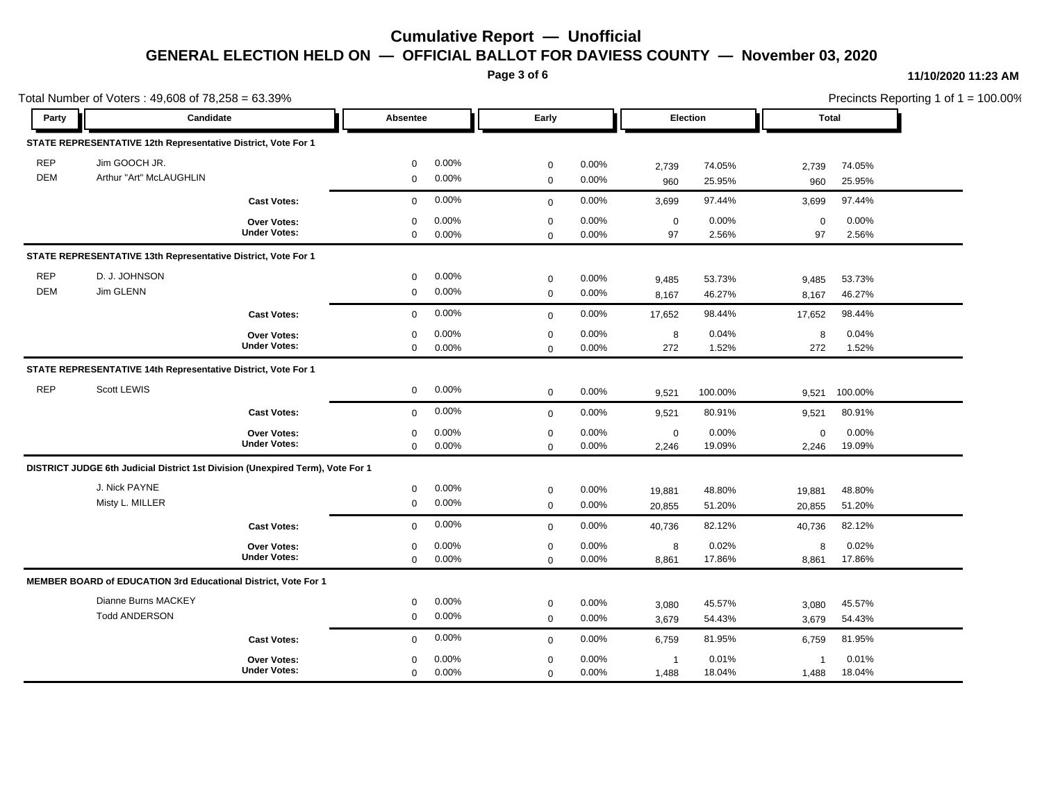**Page 3 of 6**

#### **11/10/2020 11:23 AM**

|            | Total Number of Voters: 49,608 of 78,258 = 63.39%                              |                     |             |       |             |          |                |          |             |         | Precincts Reporting 1 of 1 = 100.00% |
|------------|--------------------------------------------------------------------------------|---------------------|-------------|-------|-------------|----------|----------------|----------|-------------|---------|--------------------------------------|
| Party      | Candidate                                                                      |                     | Absentee    |       | Early       |          |                | Election |             | Total   |                                      |
|            | STATE REPRESENTATIVE 12th Representative District, Vote For 1                  |                     |             |       |             |          |                |          |             |         |                                      |
| <b>REP</b> | Jim GOOCH JR.                                                                  |                     | $\mathbf 0$ | 0.00% | $\mathbf 0$ | 0.00%    | 2,739          | 74.05%   | 2,739       | 74.05%  |                                      |
| <b>DEM</b> | Arthur "Art" McLAUGHLIN                                                        |                     | $\mathbf 0$ | 0.00% | $\mathbf 0$ | 0.00%    | 960            | 25.95%   | 960         | 25.95%  |                                      |
|            |                                                                                | <b>Cast Votes:</b>  | $\mathbf 0$ | 0.00% | $\mathbf 0$ | 0.00%    | 3,699          | 97.44%   | 3,699       | 97.44%  |                                      |
|            |                                                                                | Over Votes:         | $\mathbf 0$ | 0.00% | $\mathbf 0$ | 0.00%    | $\mathbf 0$    | 0.00%    | $\mathbf 0$ | 0.00%   |                                      |
|            |                                                                                | <b>Under Votes:</b> | $\mathbf 0$ | 0.00% | $\mathbf 0$ | $0.00\%$ | 97             | 2.56%    | 97          | 2.56%   |                                      |
|            | STATE REPRESENTATIVE 13th Representative District, Vote For 1                  |                     |             |       |             |          |                |          |             |         |                                      |
| <b>REP</b> | D. J. JOHNSON                                                                  |                     | $\mathbf 0$ | 0.00% | $\mathbf 0$ | 0.00%    | 9,485          | 53.73%   | 9,485       | 53.73%  |                                      |
| <b>DEM</b> | Jim GLENN                                                                      |                     | $\mathbf 0$ | 0.00% | $\mathbf 0$ | 0.00%    | 8,167          | 46.27%   | 8,167       | 46.27%  |                                      |
|            |                                                                                | <b>Cast Votes:</b>  | $\mathbf 0$ | 0.00% | $\mathbf 0$ | $0.00\%$ | 17,652         | 98.44%   | 17,652      | 98.44%  |                                      |
|            |                                                                                | Over Votes:         | $\mathbf 0$ | 0.00% | $\mathbf 0$ | 0.00%    | 8              | 0.04%    | 8           | 0.04%   |                                      |
|            |                                                                                | <b>Under Votes:</b> | $\mathbf 0$ | 0.00% | $\mathbf 0$ | 0.00%    | 272            | 1.52%    | 272         | 1.52%   |                                      |
|            | STATE REPRESENTATIVE 14th Representative District, Vote For 1                  |                     |             |       |             |          |                |          |             |         |                                      |
| <b>REP</b> | Scott LEWIS                                                                    |                     | $\mathbf 0$ | 0.00% | $\mathbf 0$ | 0.00%    | 9,521          | 100.00%  | 9,521       | 100.00% |                                      |
|            |                                                                                | <b>Cast Votes:</b>  | $\mathbf 0$ | 0.00% | $\mathbf 0$ | 0.00%    | 9,521          | 80.91%   | 9,521       | 80.91%  |                                      |
|            |                                                                                | Over Votes:         | 0           | 0.00% | $\mathbf 0$ | 0.00%    | $\mathbf 0$    | 0.00%    | 0           | 0.00%   |                                      |
|            |                                                                                | <b>Under Votes:</b> | $\mathbf 0$ | 0.00% | $\mathbf 0$ | 0.00%    | 2,246          | 19.09%   | 2,246       | 19.09%  |                                      |
|            | DISTRICT JUDGE 6th Judicial District 1st Division (Unexpired Term), Vote For 1 |                     |             |       |             |          |                |          |             |         |                                      |
|            | J. Nick PAYNE                                                                  |                     | $\mathbf 0$ | 0.00% | $\mathbf 0$ | 0.00%    | 19,881         | 48.80%   | 19,881      | 48.80%  |                                      |
|            | Misty L. MILLER                                                                |                     | $\mathbf 0$ | 0.00% | $\mathbf 0$ | 0.00%    | 20,855         | 51.20%   | 20,855      | 51.20%  |                                      |
|            |                                                                                | <b>Cast Votes:</b>  | $\mathbf 0$ | 0.00% | $\mathbf 0$ | 0.00%    | 40,736         | 82.12%   | 40,736      | 82.12%  |                                      |
|            |                                                                                | Over Votes:         | $\mathbf 0$ | 0.00% | $\mathbf 0$ | 0.00%    | 8              | 0.02%    | 8           | 0.02%   |                                      |
|            |                                                                                | <b>Under Votes:</b> | $\mathbf 0$ | 0.00% | $\mathbf 0$ | 0.00%    | 8,861          | 17.86%   | 8,861       | 17.86%  |                                      |
|            | <b>MEMBER BOARD of EDUCATION 3rd Educational District, Vote For 1</b>          |                     |             |       |             |          |                |          |             |         |                                      |
|            | Dianne Burns MACKEY                                                            |                     | $\mathbf 0$ | 0.00% | $\mathbf 0$ | 0.00%    | 3,080          | 45.57%   | 3,080       | 45.57%  |                                      |
|            | <b>Todd ANDERSON</b>                                                           |                     | $\mathbf 0$ | 0.00% | $\mathbf 0$ | 0.00%    | 3,679          | 54.43%   | 3,679       | 54.43%  |                                      |
|            |                                                                                | <b>Cast Votes:</b>  | $\Omega$    | 0.00% | $\mathbf 0$ | 0.00%    | 6,759          | 81.95%   | 6,759       | 81.95%  |                                      |
|            |                                                                                | <b>Over Votes:</b>  | $\mathbf 0$ | 0.00% | $\pmb{0}$   | 0.00%    | $\overline{1}$ | 0.01%    | -1          | 0.01%   |                                      |
|            |                                                                                | <b>Under Votes:</b> | $\mathbf 0$ | 0.00% | $\mathbf 0$ | 0.00%    | 1,488          | 18.04%   | 1,488       | 18.04%  |                                      |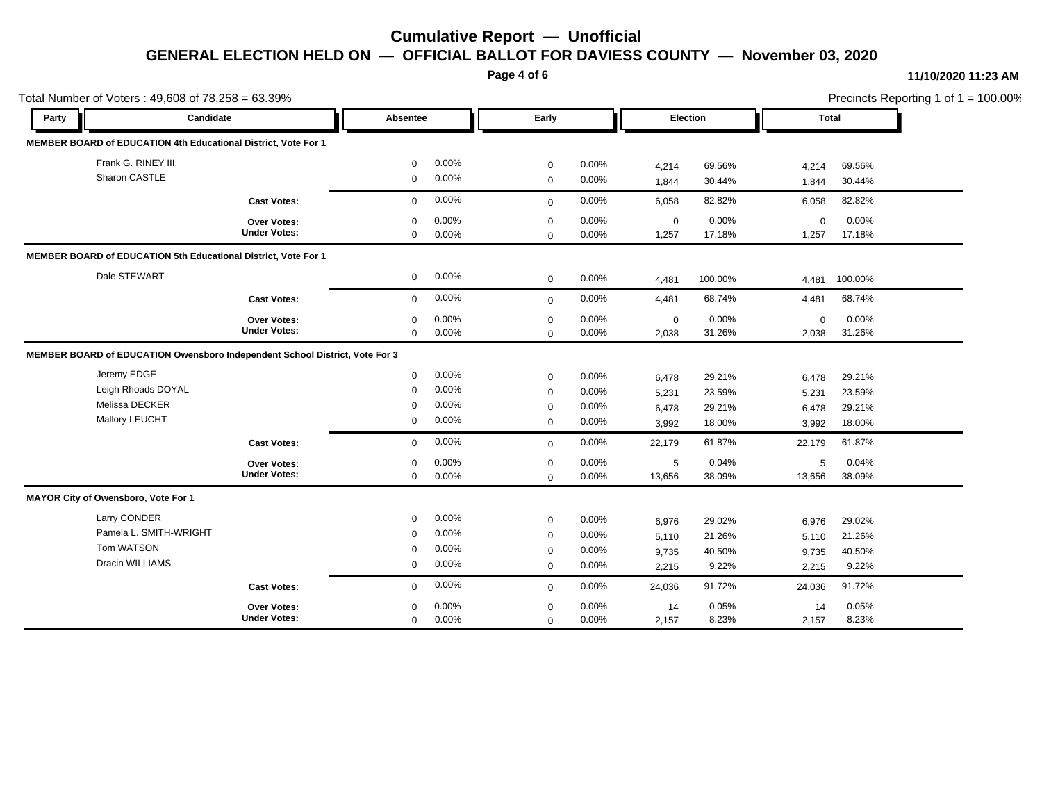**Page 4 of 6**

#### **11/10/2020 11:23 AM**

| Total Number of Voters: 49,608 of 78,258 = 63.39% |                                                                             |                     |              |       |              |       |             |         |              |         | Precincts Reporting 1 of 1 = 100.00% |
|---------------------------------------------------|-----------------------------------------------------------------------------|---------------------|--------------|-------|--------------|-------|-------------|---------|--------------|---------|--------------------------------------|
| Party                                             | Candidate                                                                   |                     | Absentee     |       | Early        |       | Election    |         | <b>Total</b> |         |                                      |
|                                                   | MEMBER BOARD of EDUCATION 4th Educational District, Vote For 1              |                     |              |       |              |       |             |         |              |         |                                      |
|                                                   | Frank G. RINEY III.                                                         |                     | $\Omega$     | 0.00% | $\mathbf 0$  | 0.00% | 4,214       | 69.56%  | 4,214        | 69.56%  |                                      |
|                                                   | Sharon CASTLE                                                               |                     | $\mathbf 0$  | 0.00% | $\mathbf 0$  | 0.00% | 1,844       | 30.44%  | 1,844        | 30.44%  |                                      |
|                                                   |                                                                             | <b>Cast Votes:</b>  | $\mathbf 0$  | 0.00% | $\mathbf 0$  | 0.00% | 6,058       | 82.82%  | 6,058        | 82.82%  |                                      |
|                                                   |                                                                             | Over Votes:         | $\mathbf 0$  | 0.00% | $\mathbf 0$  | 0.00% | $\mathbf 0$ | 0.00%   | $\mathbf 0$  | 0.00%   |                                      |
|                                                   |                                                                             | <b>Under Votes:</b> | $\mathbf 0$  | 0.00% | $\mathbf 0$  | 0.00% | 1,257       | 17.18%  | 1,257        | 17.18%  |                                      |
|                                                   | MEMBER BOARD of EDUCATION 5th Educational District, Vote For 1              |                     |              |       |              |       |             |         |              |         |                                      |
|                                                   | Dale STEWART                                                                |                     | $\mathbf 0$  | 0.00% | $\mathbf 0$  | 0.00% | 4,481       | 100.00% | 4,481        | 100.00% |                                      |
|                                                   |                                                                             | <b>Cast Votes:</b>  | $\mathbf{0}$ | 0.00% | $\mathbf 0$  | 0.00% | 4,481       | 68.74%  | 4,481        | 68.74%  |                                      |
|                                                   |                                                                             | Over Votes:         | $\mathbf 0$  | 0.00% | $\mathbf 0$  | 0.00% | $\mathbf 0$ | 0.00%   | $\mathbf 0$  | 0.00%   |                                      |
|                                                   |                                                                             | <b>Under Votes:</b> | $\mathbf 0$  | 0.00% | $\mathbf 0$  | 0.00% | 2,038       | 31.26%  | 2,038        | 31.26%  |                                      |
|                                                   | MEMBER BOARD of EDUCATION Owensboro Independent School District, Vote For 3 |                     |              |       |              |       |             |         |              |         |                                      |
|                                                   | Jeremy EDGE                                                                 |                     | $\mathbf 0$  | 0.00% | $\mathbf 0$  | 0.00% | 6,478       | 29.21%  | 6,478        | 29.21%  |                                      |
|                                                   | Leigh Rhoads DOYAL                                                          |                     | $\Omega$     | 0.00% | $\mathbf 0$  | 0.00% | 5,231       | 23.59%  | 5,231        | 23.59%  |                                      |
|                                                   | Melissa DECKER                                                              |                     | $\mathbf 0$  | 0.00% | $\mathbf 0$  | 0.00% | 6,478       | 29.21%  | 6,478        | 29.21%  |                                      |
|                                                   | Mallory LEUCHT                                                              |                     | $\mathbf 0$  | 0.00% | $\mathbf 0$  | 0.00% | 3,992       | 18.00%  | 3,992        | 18.00%  |                                      |
|                                                   |                                                                             | <b>Cast Votes:</b>  | $\mathbf 0$  | 0.00% | $\mathbf 0$  | 0.00% | 22,179      | 61.87%  | 22,179       | 61.87%  |                                      |
|                                                   |                                                                             | Over Votes:         | $\mathbf 0$  | 0.00% | $\mathbf 0$  | 0.00% | 5           | 0.04%   | 5            | 0.04%   |                                      |
|                                                   |                                                                             | <b>Under Votes:</b> | $\mathbf 0$  | 0.00% | $\mathbf 0$  | 0.00% | 13,656      | 38.09%  | 13,656       | 38.09%  |                                      |
|                                                   | MAYOR City of Owensboro, Vote For 1                                         |                     |              |       |              |       |             |         |              |         |                                      |
|                                                   | Larry CONDER                                                                |                     | $\mathbf 0$  | 0.00% | $\mathbf 0$  | 0.00% | 6,976       | 29.02%  | 6,976        | 29.02%  |                                      |
|                                                   | Pamela L. SMITH-WRIGHT                                                      |                     | $\mathbf 0$  | 0.00% | $\mathbf 0$  | 0.00% | 5,110       | 21.26%  | 5,110        | 21.26%  |                                      |
|                                                   | Tom WATSON                                                                  |                     | $\Omega$     | 0.00% | $\mathbf 0$  | 0.00% | 9,735       | 40.50%  | 9,735        | 40.50%  |                                      |
|                                                   | Dracin WILLIAMS                                                             |                     | 0            | 0.00% | $\mathbf 0$  | 0.00% | 2,215       | 9.22%   | 2,215        | 9.22%   |                                      |
|                                                   |                                                                             | <b>Cast Votes:</b>  | $\Omega$     | 0.00% | $\mathbf{0}$ | 0.00% | 24,036      | 91.72%  | 24,036       | 91.72%  |                                      |
|                                                   |                                                                             | Over Votes:         | $\Omega$     | 0.00% | $\pmb{0}$    | 0.00% | 14          | 0.05%   | 14           | 0.05%   |                                      |
|                                                   |                                                                             | <b>Under Votes:</b> | $\mathbf 0$  | 0.00% | $\mathbf 0$  | 0.00% | 2,157       | 8.23%   | 2,157        | 8.23%   |                                      |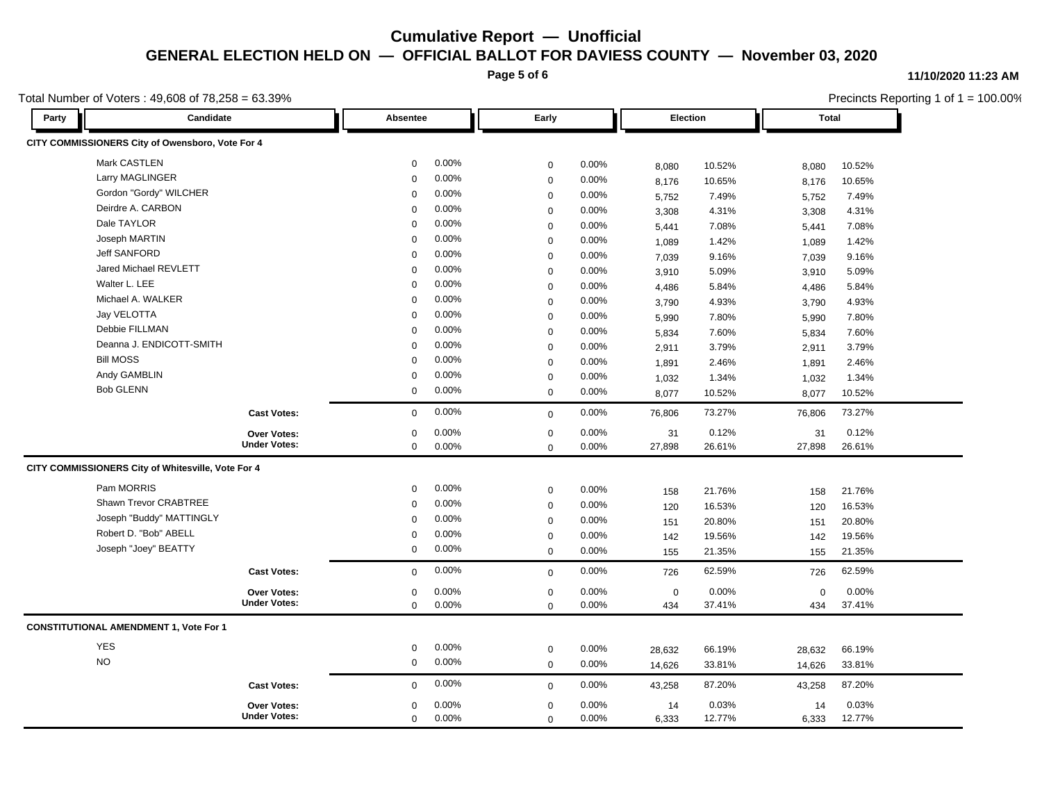**Page 5 of 6**

#### **11/10/2020 11:23 AM**

Precincts Reporting 1 of 1 = 100.00%

### Total Number of Voters : 49,608 of 78,258 = 63.39%

| Candidate<br>Party                                 | Absentee                | Early       |          |             | Election |          | <b>Total</b> |  |
|----------------------------------------------------|-------------------------|-------------|----------|-------------|----------|----------|--------------|--|
| CITY COMMISSIONERS City of Owensboro, Vote For 4   |                         |             |          |             |          |          |              |  |
| Mark CASTLEN                                       | 0.00%<br>$\mathbf 0$    | $\mathbf 0$ | 0.00%    | 8,080       | 10.52%   | 8,080    | 10.52%       |  |
| Larry MAGLINGER                                    | 0.00%<br>$\mathbf 0$    | $\mathbf 0$ | 0.00%    | 8,176       | 10.65%   | 8,176    | 10.65%       |  |
| Gordon "Gordy" WILCHER                             | $0.00\%$<br>$\mathbf 0$ | $\mathbf 0$ | 0.00%    | 5,752       | 7.49%    | 5,752    | 7.49%        |  |
| Deirdre A. CARBON                                  | 0.00%<br>$\mathbf 0$    | $\mathbf 0$ | 0.00%    | 3,308       | 4.31%    | 3,308    | 4.31%        |  |
| Dale TAYLOR                                        | 0.00%<br>$\mathbf 0$    | $\Omega$    | 0.00%    | 5,441       | 7.08%    | 5,441    | 7.08%        |  |
| Joseph MARTIN                                      | 0.00%<br>$\mathbf 0$    | $\mathbf 0$ | 0.00%    | 1,089       | 1.42%    | 1,089    | 1.42%        |  |
| <b>Jeff SANFORD</b>                                | 0.00%<br>$\mathbf 0$    | $\mathbf 0$ | 0.00%    | 7,039       | 9.16%    | 7,039    | 9.16%        |  |
| Jared Michael REVLETT                              | 0.00%<br>$\mathbf 0$    | $\mathbf 0$ | 0.00%    | 3,910       | 5.09%    | 3,910    | 5.09%        |  |
| Walter L. LEE                                      | 0.00%<br>$\mathbf 0$    | $\mathbf 0$ | 0.00%    | 4,486       | 5.84%    | 4,486    | 5.84%        |  |
| Michael A. WALKER                                  | 0.00%<br>$\Omega$       | $\mathbf 0$ | 0.00%    | 3,790       | 4.93%    | 3,790    | 4.93%        |  |
| Jay VELOTTA                                        | 0.00%<br>$\mathbf 0$    | $\mathbf 0$ | 0.00%    | 5,990       | 7.80%    | 5,990    | 7.80%        |  |
| Debbie FILLMAN                                     | 0.00%<br>$\mathbf 0$    | $\mathbf 0$ | 0.00%    | 5,834       | 7.60%    | 5,834    | 7.60%        |  |
| Deanna J. ENDICOTT-SMITH                           | 0.00%<br>$\mathbf 0$    | $\mathbf 0$ | 0.00%    | 2,911       | 3.79%    | 2,911    | 3.79%        |  |
| <b>Bill MOSS</b>                                   | 0.00%<br>$\Omega$       | $\mathbf 0$ | 0.00%    | 1,891       | 2.46%    | 1,891    | 2.46%        |  |
| Andy GAMBLIN                                       | 0.00%<br>$\mathbf 0$    | $\mathbf 0$ | 0.00%    | 1,032       | 1.34%    | 1,032    | 1.34%        |  |
| <b>Bob GLENN</b>                                   | 0.00%<br>$\mathbf 0$    | $\mathbf 0$ | $0.00\%$ | 8,077       | 10.52%   | 8,077    | 10.52%       |  |
| <b>Cast Votes:</b>                                 | 0.00%<br>$\mathbf 0$    | $\mathbf 0$ | $0.00\%$ | 76,806      | 73.27%   | 76,806   | 73.27%       |  |
| Over Votes:                                        | 0.00%<br>$\mathbf 0$    | $\mathbf 0$ | 0.00%    | 31          | 0.12%    | 31       | 0.12%        |  |
| <b>Under Votes:</b>                                | $\mathbf 0$<br>$0.00\%$ | $\Omega$    | 0.00%    | 27,898      | 26.61%   | 27,898   | 26.61%       |  |
| CITY COMMISSIONERS City of Whitesville, Vote For 4 |                         |             |          |             |          |          |              |  |
| Pam MORRIS                                         | $0.00\%$<br>$\mathbf 0$ | $\mathbf 0$ | 0.00%    | 158         | 21.76%   | 158      | 21.76%       |  |
| Shawn Trevor CRABTREE                              | 0.00%<br>$\mathbf 0$    | $\mathbf 0$ | 0.00%    | 120         | 16.53%   | 120      | 16.53%       |  |
| Joseph "Buddy" MATTINGLY                           | 0.00%<br>$\mathbf 0$    | $\mathbf 0$ | $0.00\%$ | 151         | 20.80%   | 151      | 20.80%       |  |
| Robert D. "Bob" ABELL                              | 0.00%<br>$\mathbf 0$    | $\mathbf 0$ | 0.00%    | 142         | 19.56%   | 142      | 19.56%       |  |
| Joseph "Joey" BEATTY                               | 0.00%<br>$\mathbf 0$    | $\Omega$    | 0.00%    | 155         | 21.35%   | 155      | 21.35%       |  |
| <b>Cast Votes:</b>                                 | 0.00%<br>$\mathbf 0$    | $\mathbf 0$ | 0.00%    | 726         | 62.59%   | 726      | 62.59%       |  |
| <b>Over Votes:</b>                                 | 0.00%<br>$\mathbf 0$    | $\mathbf 0$ | 0.00%    | $\mathbf 0$ | 0.00%    | $\Omega$ | 0.00%        |  |
| <b>Under Votes:</b>                                | $\Omega$<br>$0.00\%$    | $\mathbf 0$ | 0.00%    | 434         | 37.41%   | 434      | 37.41%       |  |
| <b>CONSTITUTIONAL AMENDMENT 1, Vote For 1</b>      |                         |             |          |             |          |          |              |  |
| <b>YES</b>                                         | $0.00\%$<br>0           | $\mathbf 0$ | 0.00%    | 28,632      | 66.19%   | 28,632   | 66.19%       |  |
| <b>NO</b>                                          | 0.00%<br>$\mathbf 0$    | $\mathbf 0$ | 0.00%    | 14,626      | 33.81%   | 14,626   | 33.81%       |  |
| <b>Cast Votes:</b>                                 | 0.00%<br>$\mathbf 0$    | $\mathbf 0$ | 0.00%    | 43,258      | 87.20%   | 43,258   | 87.20%       |  |
| Over Votes:                                        | 0.00%<br>$\mathbf 0$    | $\mathbf 0$ | 0.00%    | 14          | 0.03%    | 14       | 0.03%        |  |
| <b>Under Votes:</b>                                | 0.00%<br>$\mathbf 0$    | $\Omega$    | 0.00%    | 6,333       | 12.77%   | 6,333    | 12.77%       |  |